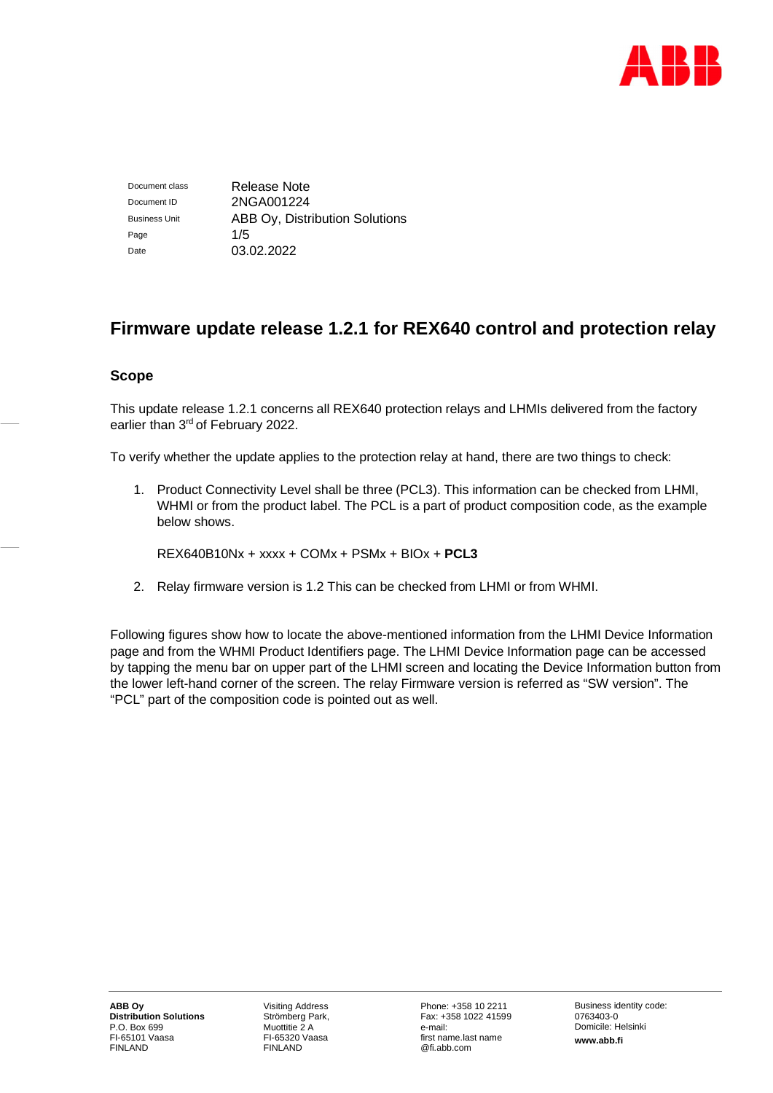

Document class Release Note Document ID 2NGA001224 Business Unit **ABB Oy, Distribution Solutions** Page  $1/5$ Date 03.02.2022

# **Firmware update release 1.2.1 for REX640 control and protection relay**

## **Scope**

This update release 1.2.1 concerns all REX640 protection relays and LHMIs delivered from the factory earlier than 3rd of February 2022.

To verify whether the update applies to the protection relay at hand, there are two things to check:

1. Product Connectivity Level shall be three (PCL3). This information can be checked from LHMI, WHMI or from the product label. The PCL is a part of product composition code, as the example below shows.

REX640B10Nx + xxxx + COMx + PSMx + BIOx + **PCL3**

2. Relay firmware version is 1.2 This can be checked from LHMI or from WHMI.

Following figures show how to locate the above-mentioned information from the LHMI Device Information page and from the WHMI Product Identifiers page. The LHMI Device Information page can be accessed by tapping the menu bar on upper part of the LHMI screen and locating the Device Information button from the lower left-hand corner of the screen. The relay Firmware version is referred as "SW version". The "PCL" part of the composition code is pointed out as well.

Visiting Address Strömberg Park, Muottitie 2 A FI-65320 Vaasa FINLAND

Phone: +358 10 2211 Fax: +358 1022 41599 e-mail: first name.last name @fi.abb.com

Business identity code: 0763403-0 Domicile: Helsinki **www.abb.fi**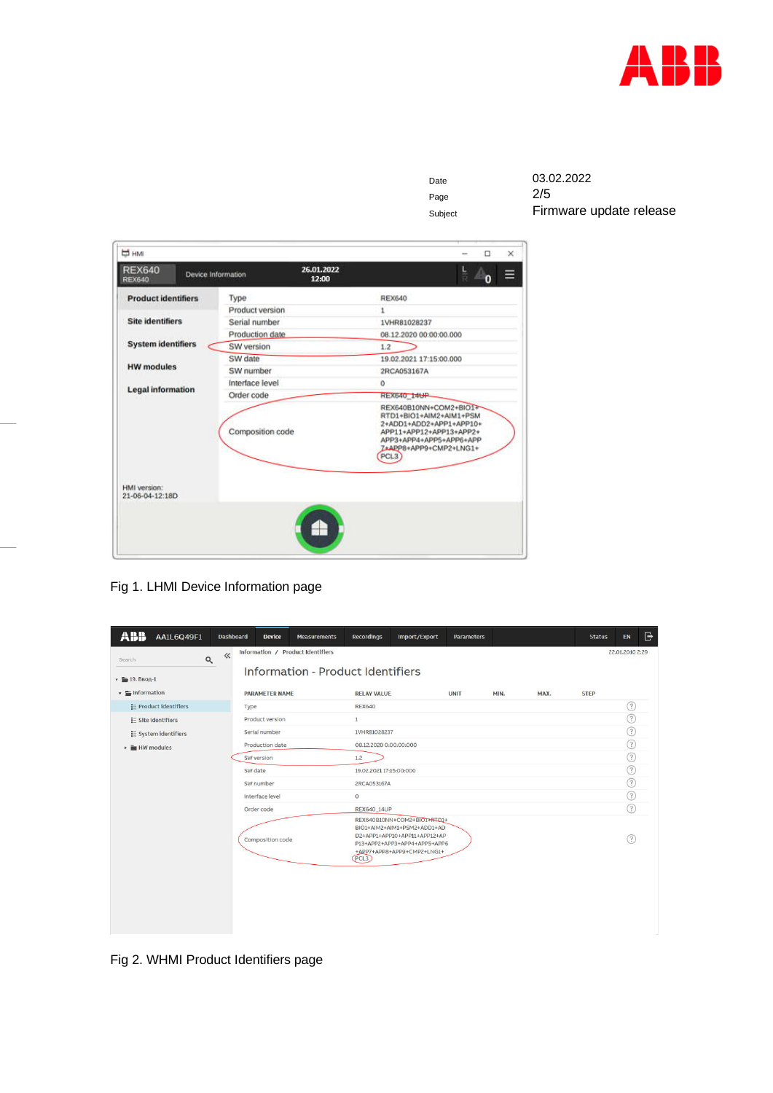

Page

Date 03.02.2022<br>Page 2/5 Subject **Firmware update release** 

| <b>REX640</b><br><b>REX640</b>                | Device Information | 26.01.2022<br>12:00 |                                                                                                                                                                                  |
|-----------------------------------------------|--------------------|---------------------|----------------------------------------------------------------------------------------------------------------------------------------------------------------------------------|
| <b>Product identifiers</b>                    | Type               |                     | <b>REX640</b>                                                                                                                                                                    |
|                                               | Product version    |                     | 1                                                                                                                                                                                |
| <b>Site identifiers</b>                       | Serial number      |                     | 1VHR81028237                                                                                                                                                                     |
|                                               | Production date    |                     | 08.12.2020 00:00:00.000                                                                                                                                                          |
| <b>System identifiers</b>                     | SW version         |                     | 1.2                                                                                                                                                                              |
| <b>HW</b> modules<br><b>Legal information</b> | SW date            |                     | 19.02.2021 17:15:00.000                                                                                                                                                          |
|                                               | SW number          |                     | 2RCA053167A                                                                                                                                                                      |
|                                               | Interface level    |                     | 0                                                                                                                                                                                |
|                                               | Order code         |                     | <b>REX640 14UP</b>                                                                                                                                                               |
| HMI version:<br>21-06-04-12:18D               | Composition code   |                     | REX640B10NN+COM2+BIO1+<br>RTD1+BIO1+AIM2+AIM1+PSM<br>2+ADD1+ADD2+APP1+APP10+<br>APP11+APP12+APP13+APP2+<br>APP3+APP4+APP5+APP6+APP<br>7+APP8+APP9+CMP2+LNG1+<br>PCL <sub>3</sub> |
|                                               |                    |                     |                                                                                                                                                                                  |

Fig 1. LHMI Device Information page

| ABB.<br>AA1L6Q49F1                   | <b>Dashboard</b>  |      | <b>Device</b>         | <b>Measurements</b>                                                    | <b>Recordings</b>       | Import/Export                                                                                                                                            | <b>Parameters</b> |      |      | <b>Status</b> | EN              | G |
|--------------------------------------|-------------------|------|-----------------------|------------------------------------------------------------------------|-------------------------|----------------------------------------------------------------------------------------------------------------------------------------------------------|-------------------|------|------|---------------|-----------------|---|
| Search<br>$\mathbf{v} = 19.$ Ввод-1  | $\ll$<br>$\alpha$ |      |                       | Information / Product Identifiers<br>Information - Product Identifiers |                         |                                                                                                                                                          |                   |      |      |               | 22.01.2010 2:29 |   |
| $\bullet$ $\blacksquare$ Information |                   |      | <b>PARAMETER NAME</b> |                                                                        | <b>RELAY VALUE</b>      |                                                                                                                                                          | <b>UNIT</b>       | MIN. | MAX. | <b>STEP</b>   |                 |   |
| ∺ Product identifiers                |                   | Type |                       |                                                                        | <b>REX640</b>           |                                                                                                                                                          |                   |      |      |               | (?)             |   |
| $i =$ Site identifiers               |                   |      | Product version       |                                                                        | $\mathbf{1}$            |                                                                                                                                                          |                   |      |      |               | ☉               |   |
| E System identifiers                 |                   |      | Serial number         |                                                                        | 1VHR81028237            |                                                                                                                                                          |                   |      |      |               | ℗               |   |
| <b>Exp</b> HW modules<br>٠           |                   |      | Production date       |                                                                        | 08.12.2020 0:00:00:000  |                                                                                                                                                          |                   |      |      |               | ⊙               |   |
|                                      |                   |      | SW version            |                                                                        | 1.2                     |                                                                                                                                                          |                   |      |      |               | ⊙               |   |
|                                      |                   |      | SW date               |                                                                        | 19.02.2021 17:15:00:000 |                                                                                                                                                          |                   |      |      |               | ☉               |   |
|                                      |                   |      | SW number             |                                                                        | 2RCA053167A             |                                                                                                                                                          |                   |      |      |               | ⊙               |   |
|                                      |                   |      | Interface level       |                                                                        | $\circ$                 |                                                                                                                                                          |                   |      |      |               | ☉               |   |
|                                      |                   |      | Order code            |                                                                        | REX640_14UP             |                                                                                                                                                          |                   |      |      |               | $\circledR$     |   |
|                                      |                   |      | Composition code      |                                                                        | PCL3                    | REX640B10NN+COM2+BIOI+RTD1+<br>BIO1+AIM2+AIM1+PSM2+ADD1+AD<br>D2+APP1+APP10+APP11+APP12+AP<br>P13+APP2+APP3+APP4+APP5+APP6<br>+APP7+APP8+APP9+CMP2+LNG1+ |                   |      |      |               | 7               |   |
|                                      |                   |      |                       |                                                                        |                         |                                                                                                                                                          |                   |      |      |               |                 |   |

Fig 2. WHMI Product Identifiers page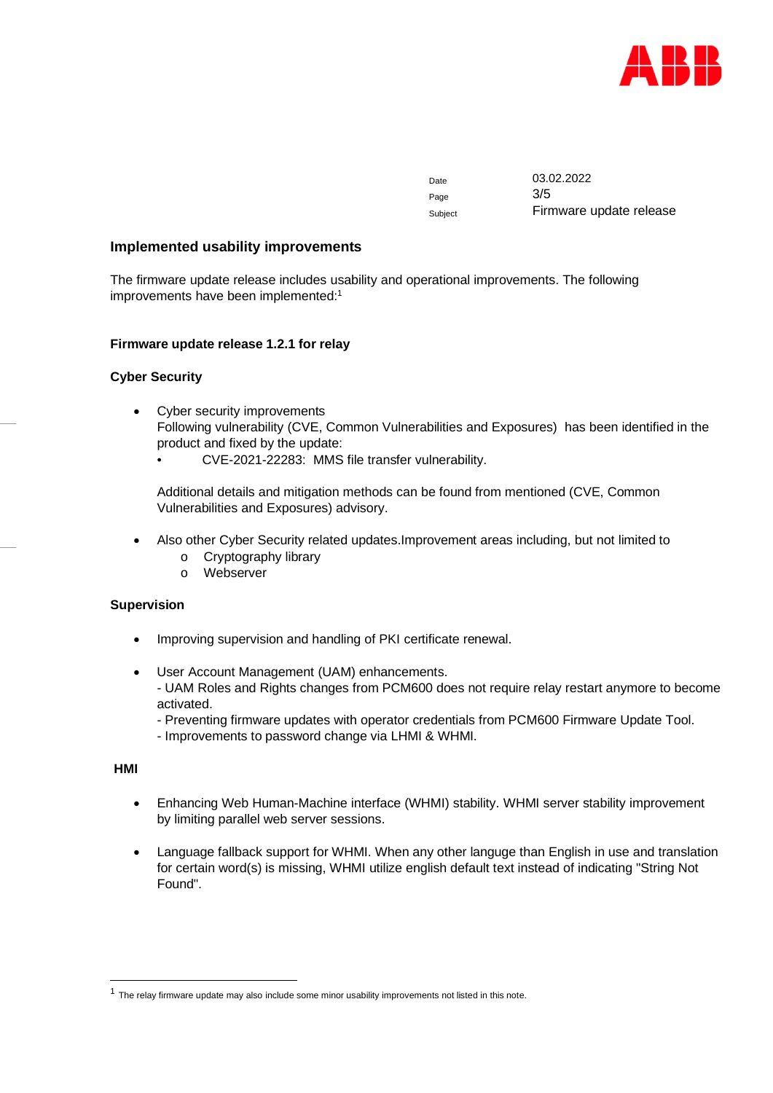

Date 03.02.2022 Page 3/5 Subject Firmware update release

#### **Implemented usability improvements**

The firmware update release includes usability and operational improvements. The following improvements have been implemented:<sup>1</sup>

#### **Firmware update release 1.2.1 for relay**

## **Cyber Security**

- Cyber security improvements Following vulnerability (CVE, Common Vulnerabilities and Exposures) has been identified in the product and fixed by the update:
	- CVE-2021-22283: MMS file transfer vulnerability.

Additional details and mitigation methods can be found from mentioned (CVE, Common Vulnerabilities and Exposures) advisory.

- Also other Cyber Security related updates.Improvement areas including, but not limited to
	- o Cryptography library
	- o Webserver

#### **Supervision**

- Improving supervision and handling of PKI certificate renewal.
- User Account Management (UAM) enhancements.

- UAM Roles and Rights changes from PCM600 does not require relay restart anymore to become activated.

- Preventing firmware updates with operator credentials from PCM600 Firmware Update Tool.

- Improvements to password change via LHMI & WHMI.

 **HMI**

- Enhancing Web Human-Machine interface (WHMI) stability. WHMI server stability improvement by limiting parallel web server sessions.
- Language fallback support for WHMI. When any other languge than English in use and translation for certain word(s) is missing, WHMI utilize english default text instead of indicating "String Not Found".

 $<sup>1</sup>$  The relay firmware update may also include some minor usability improvements not listed in this note.</sup>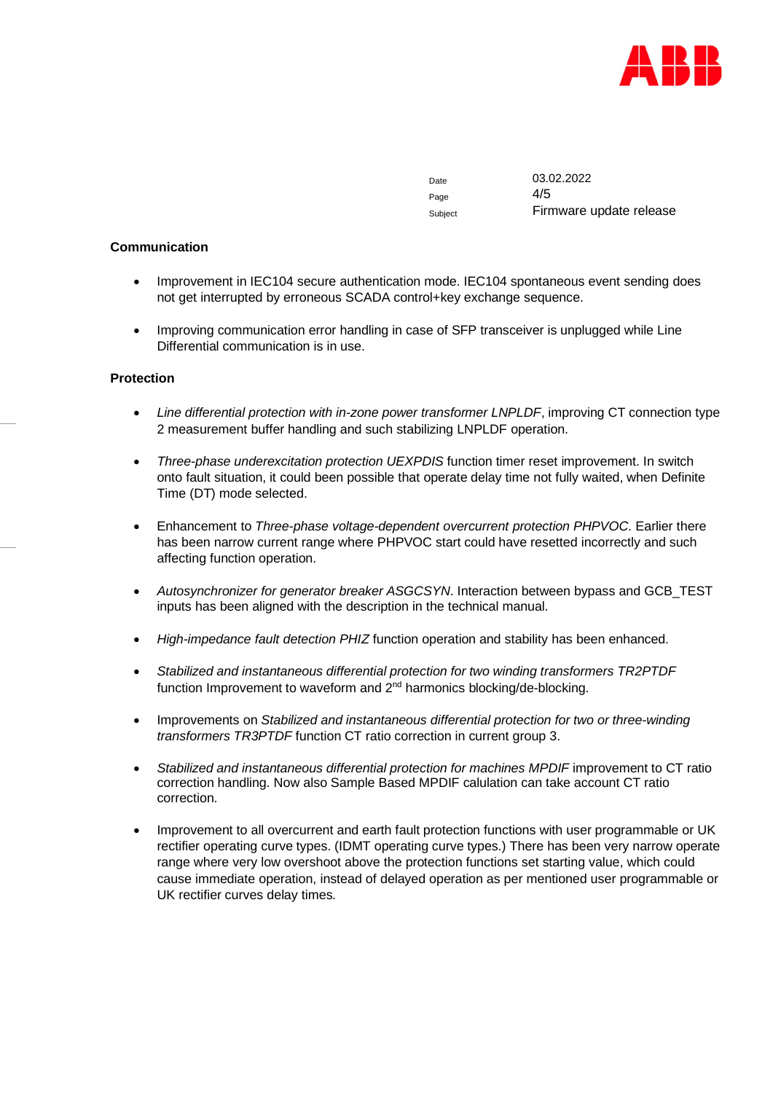

Page  $4/5$ 

Date 03.02.2022 Subject Firmware update release

#### **Communication**

- Improvement in IEC104 secure authentication mode. IEC104 spontaneous event sending does not get interrupted by erroneous SCADA control+key exchange sequence.
- Improving communication error handling in case of SFP transceiver is unplugged while Line Differential communication is in use.

#### **Protection**

- *Line differential protection with in-zone power transformer LNPLDF*, improving CT connection type 2 measurement buffer handling and such stabilizing LNPLDF operation.
- *Three-phase underexcitation protection UEXPDIS* function timer reset improvement. In switch onto fault situation, it could been possible that operate delay time not fully waited, when Definite Time (DT) mode selected.
- Enhancement to *Three-phase voltage-dependent overcurrent protection PHPVOC*. Earlier there has been narrow current range where PHPVOC start could have resetted incorrectly and such affecting function operation.
- *Autosynchronizer for generator breaker ASGCSYN*. Interaction between bypass and GCB\_TEST inputs has been aligned with the description in the technical manual.
- *High-impedance fault detection PHIZ* function operation and stability has been enhanced.
- *Stabilized and instantaneous differential protection for two winding transformers TR2PTDF* function Improvement to waveform and 2<sup>nd</sup> harmonics blocking/de-blocking.
- Improvements on *Stabilized and instantaneous differential protection for two or three-winding transformers TR3PTDF* function CT ratio correction in current group 3.
- *Stabilized and instantaneous differential protection for machines MPDIF* improvement to CT ratio correction handling. Now also Sample Based MPDIF calulation can take account CT ratio correction.
- Improvement to all overcurrent and earth fault protection functions with user programmable or UK rectifier operating curve types. (IDMT operating curve types.) There has been very narrow operate range where very low overshoot above the protection functions set starting value, which could cause immediate operation, instead of delayed operation as per mentioned user programmable or UK rectifier curves delay times.